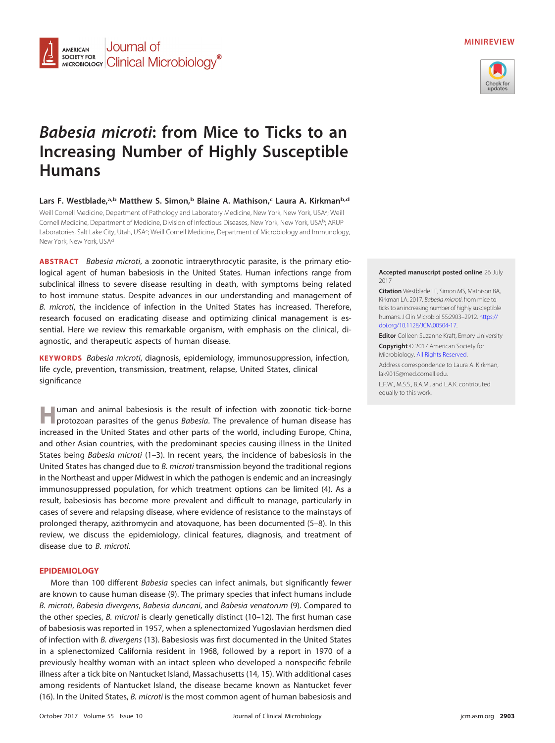

## **MINIREVIEW**



# **Babesia microti: from Mice to Ticks to an Increasing Number of Highly Susceptible Humans**

Lars F. Westblade,<sup>a,b</sup> Matthew S. Simon,<sup>b</sup> Blaine A. Mathison,<sup>c</sup> Laura A. Kirkman<sup>b,d</sup> Weill Cornell Medicine, Department of Pathology and Laboratory Medicine, New York, New York, USA<sup>a</sup>; Weill Cornell Medicine, Department of Medicine, Division of Infectious Diseases, New York, New York, USA<sup>b</sup>; ARUP Laboratories, Salt Lake City, Utah, USA<sup>c</sup>; Weill Cornell Medicine, Department of Microbiology and Immunology, New York, New York, USAd

**ABSTRACT** Babesia microti, a zoonotic intraerythrocytic parasite, is the primary etiological agent of human babesiosis in the United States. Human infections range from subclinical illness to severe disease resulting in death, with symptoms being related to host immune status. Despite advances in our understanding and management of B. microti, the incidence of infection in the United States has increased. Therefore, research focused on eradicating disease and optimizing clinical management is essential. Here we review this remarkable organism, with emphasis on the clinical, diagnostic, and therapeutic aspects of human disease.

**KEYWORDS** Babesia microti, diagnosis, epidemiology, immunosuppression, infection, life cycle, prevention, transmission, treatment, relapse, United States, clinical significance

**H**uman and animal babesiosis is the result of infection with zoonotic tick-borne<br>**Harportozoan parasites of the genus** *Rabesia* The prevalence of human disease has protozoan parasites of the genus Babesia. The prevalence of human disease has increased in the United States and other parts of the world, including Europe, China, and other Asian countries, with the predominant species causing illness in the United States being *Babesia microti*  $(1-3)$  $(1-3)$  $(1-3)$ . In recent years, the incidence of babesiosis in the United States has changed due to B. microti transmission beyond the traditional regions in the Northeast and upper Midwest in which the pathogen is endemic and an increasingly immunosuppressed population, for which treatment options can be limited [\(4\)](#page-7-3). As a result, babesiosis has become more prevalent and difficult to manage, particularly in cases of severe and relapsing disease, where evidence of resistance to the mainstays of prolonged therapy, azithromycin and atovaquone, has been documented [\(5](#page-7-4)[–](#page-7-5)[8\)](#page-7-6). In this review, we discuss the epidemiology, clinical features, diagnosis, and treatment of disease due to B. microti.

#### **EPIDEMIOLOGY**

More than 100 different Babesia species can infect animals, but significantly fewer are known to cause human disease [\(9\)](#page-7-7). The primary species that infect humans include B. microti, Babesia divergens, Babesia duncani, and Babesia venatorum [\(9\)](#page-7-7). Compared to the other species, B. microti is clearly genetically distinct [\(10](#page-7-8)-[12\)](#page-7-10). The first human case of babesiosis was reported in 1957, when a splenectomized Yugoslavian herdsmen died of infection with B. divergens [\(13\)](#page-8-0). Babesiosis was first documented in the United States in a splenectomized California resident in 1968, followed by a report in 1970 of a previously healthy woman with an intact spleen who developed a nonspecific febrile illness after a tick bite on Nantucket Island, Massachusetts [\(14,](#page-8-1) [15\)](#page-8-2). With additional cases among residents of Nantucket Island, the disease became known as Nantucket fever [\(16\)](#page-8-3). In the United States, B. microti is the most common agent of human babesiosis and

#### **Accepted manuscript posted online** 26 July 2017

**Citation** Westblade LF, Simon MS, Mathison BA, Kirkman LA. 2017. Babesia microti: from mice to ticks to an increasing number of highly susceptible humans. J Clin Microbiol 55:2903–2912. [https://](https://doi.org/10.1128/JCM.00504-17) [doi.org/10.1128/JCM.00504-17.](https://doi.org/10.1128/JCM.00504-17)

**Editor** Colleen Suzanne Kraft, Emory University

**Copyright** © 2017 American Society for Microbiology. [All Rights Reserved.](https://doi.org/10.1128/ASMCopyrightv1)

Address correspondence to Laura A. Kirkman, [lak9015@med.cornell.edu.](mailto:lak9015@med.cornell.edu)

L.F.W., M.S.S., B.A.M., and L.A.K. contributed equally to this work.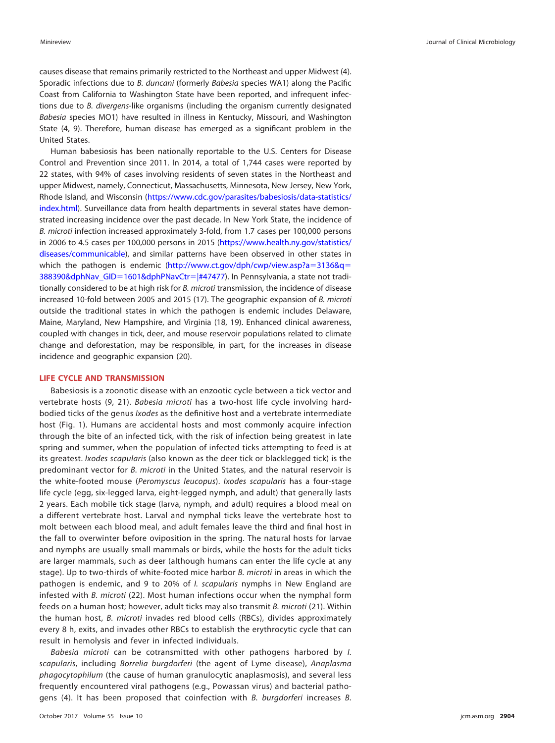causes disease that remains primarily restricted to the Northeast and upper Midwest [\(4\)](#page-7-3). Sporadic infections due to B. duncani (formerly Babesia species WA1) along the Pacific Coast from California to Washington State have been reported, and infrequent infections due to B. divergens-like organisms (including the organism currently designated Babesia species MO1) have resulted in illness in Kentucky, Missouri, and Washington State [\(4,](#page-7-3) [9\)](#page-7-7). Therefore, human disease has emerged as a significant problem in the United States.

Human babesiosis has been nationally reportable to the U.S. Centers for Disease Control and Prevention since 2011. In 2014, a total of 1,744 cases were reported by 22 states, with 94% of cases involving residents of seven states in the Northeast and upper Midwest, namely, Connecticut, Massachusetts, Minnesota, New Jersey, New York, Rhode Island, and Wisconsin [\(https://www.cdc.gov/parasites/babesiosis/data-statistics/](https://www.cdc.gov/parasites/babesiosis/data-statistics/index.html) [index.html\)](https://www.cdc.gov/parasites/babesiosis/data-statistics/index.html). Surveillance data from health departments in several states have demonstrated increasing incidence over the past decade. In New York State, the incidence of B. microti infection increased approximately 3-fold, from 1.7 cases per 100,000 persons in 2006 to 4.5 cases per 100,000 persons in 2015 [\(https://www.health.ny.gov/statistics/](https://www.health.ny.gov/statistics/diseases/communicable) [diseases/communicable\)](https://www.health.ny.gov/statistics/diseases/communicable), and similar patterns have been observed in other states in which the pathogen is endemic [\(http://www.ct.gov/dph/cwp/view.asp?a](http://www.ct.gov/dph/cwp/view.asp?a=3136&q=388390&dphNav_GID=1601&dphPNavCtr=|#47477)=3136&q= [388390&dphNav\\_GID](http://www.ct.gov/dph/cwp/view.asp?a=3136&q=388390&dphNav_GID=1601&dphPNavCtr=|#47477)=1601&dphPNavCtr=|#47477). In Pennsylvania, a state not traditionally considered to be at high risk for B. microti transmission, the incidence of disease increased 10-fold between 2005 and 2015 [\(17\)](#page-8-4). The geographic expansion of B. microti outside the traditional states in which the pathogen is endemic includes Delaware, Maine, Maryland, New Hampshire, and Virginia [\(18,](#page-8-5) [19\)](#page-8-6). Enhanced clinical awareness, coupled with changes in tick, deer, and mouse reservoir populations related to climate change and deforestation, may be responsible, in part, for the increases in disease incidence and geographic expansion [\(20\)](#page-8-7).

#### **LIFE CYCLE AND TRANSMISSION**

Babesiosis is a zoonotic disease with an enzootic cycle between a tick vector and vertebrate hosts [\(9,](#page-7-7) [21\)](#page-8-8). Babesia microti has a two-host life cycle involving hardbodied ticks of the genus Ixodes as the definitive host and a vertebrate intermediate host [\(Fig. 1\)](#page-2-0). Humans are accidental hosts and most commonly acquire infection through the bite of an infected tick, with the risk of infection being greatest in late spring and summer, when the population of infected ticks attempting to feed is at its greatest. Ixodes scapularis (also known as the deer tick or blacklegged tick) is the predominant vector for B. microti in the United States, and the natural reservoir is the white-footed mouse (Peromyscus leucopus). Ixodes scapularis has a four-stage life cycle (egg, six-legged larva, eight-legged nymph, and adult) that generally lasts 2 years. Each mobile tick stage (larva, nymph, and adult) requires a blood meal on a different vertebrate host. Larval and nymphal ticks leave the vertebrate host to molt between each blood meal, and adult females leave the third and final host in the fall to overwinter before oviposition in the spring. The natural hosts for larvae and nymphs are usually small mammals or birds, while the hosts for the adult ticks are larger mammals, such as deer (although humans can enter the life cycle at any stage). Up to two-thirds of white-footed mice harbor B. microti in areas in which the pathogen is endemic, and 9 to 20% of I. scapularis nymphs in New England are infested with B. microti [\(22\)](#page-8-9). Most human infections occur when the nymphal form feeds on a human host; however, adult ticks may also transmit B. microti [\(21\)](#page-8-8). Within the human host, B. microti invades red blood cells (RBCs), divides approximately every 8 h, exits, and invades other RBCs to establish the erythrocytic cycle that can result in hemolysis and fever in infected individuals.

Babesia microti can be cotransmitted with other pathogens harbored by *I*. scapularis, including Borrelia burgdorferi (the agent of Lyme disease), Anaplasma phagocytophilum (the cause of human granulocytic anaplasmosis), and several less frequently encountered viral pathogens (e.g., Powassan virus) and bacterial pathogens [\(4\)](#page-7-3). It has been proposed that coinfection with B. burgdorferi increases B.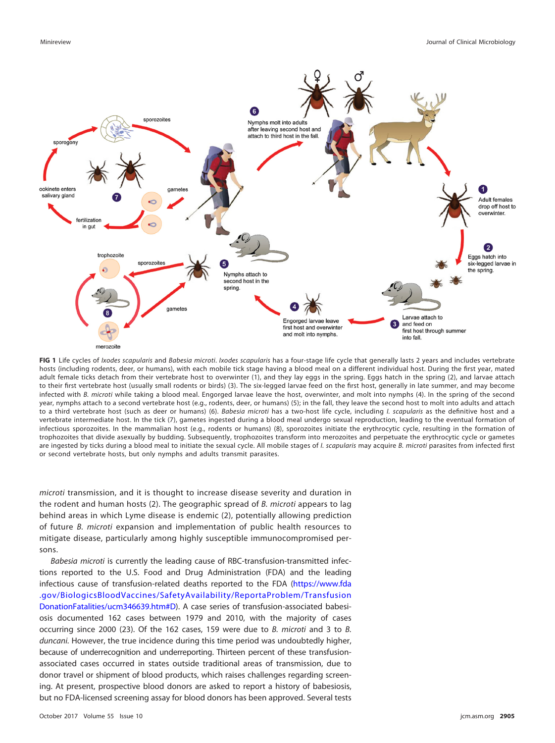

<span id="page-2-0"></span>FIG 1 Life cycles of Ixodes scapularis and Babesia microti. Ixodes scapularis has a four-stage life cycle that generally lasts 2 years and includes vertebrate hosts (including rodents, deer, or humans), with each mobile tick stage having a blood meal on a different individual host. During the first year, mated adult female ticks detach from their vertebrate host to overwinter (1), and they lay eggs in the spring. Eggs hatch in the spring (2), and larvae attach to their first vertebrate host (usually small rodents or birds) (3). The six-legged larvae feed on the first host, generally in late summer, and may become infected with B. microti while taking a blood meal. Engorged larvae leave the host, overwinter, and molt into nymphs (4). In the spring of the second year, nymphs attach to a second vertebrate host (e.g., rodents, deer, or humans) (5); in the fall, they leave the second host to molt into adults and attach to a third vertebrate host (such as deer or humans) (6). Babesia microti has a two-host life cycle, including I. scapularis as the definitive host and a vertebrate intermediate host. In the tick (7), gametes ingested during a blood meal undergo sexual reproduction, leading to the eventual formation of infectious sporozoites. In the mammalian host (e.g., rodents or humans) (8), sporozoites initiate the erythrocytic cycle, resulting in the formation of trophozoites that divide asexually by budding. Subsequently, trophozoites transform into merozoites and perpetuate the erythrocytic cycle or gametes are ingested by ticks during a blood meal to initiate the sexual cycle. All mobile stages of I. scapularis may acquire B. microti parasites from infected first or second vertebrate hosts, but only nymphs and adults transmit parasites.

microti transmission, and it is thought to increase disease severity and duration in the rodent and human hosts [\(2\)](#page-7-1). The geographic spread of B. microti appears to lag behind areas in which Lyme disease is endemic [\(2\)](#page-7-1), potentially allowing prediction of future B. microti expansion and implementation of public health resources to mitigate disease, particularly among highly susceptible immunocompromised persons.

Babesia microti is currently the leading cause of RBC-transfusion-transmitted infections reported to the U.S. Food and Drug Administration (FDA) and the leading infectious cause of transfusion-related deaths reported to the FDA [\(https://www.fda](https://www.fda.gov/BiologicsBloodVaccines/SafetyAvailability/ReportaProblem/TransfusionDonationFatalities/ucm346639.htm#D) [.gov/BiologicsBloodVaccines/SafetyAvailability/ReportaProblem/Transfusion](https://www.fda.gov/BiologicsBloodVaccines/SafetyAvailability/ReportaProblem/TransfusionDonationFatalities/ucm346639.htm#D) [DonationFatalities/ucm346639.htm#D\)](https://www.fda.gov/BiologicsBloodVaccines/SafetyAvailability/ReportaProblem/TransfusionDonationFatalities/ucm346639.htm#D). A case series of transfusion-associated babesiosis documented 162 cases between 1979 and 2010, with the majority of cases occurring since 2000 [\(23\)](#page-8-10). Of the 162 cases, 159 were due to B. microti and 3 to B. duncani. However, the true incidence during this time period was undoubtedly higher, because of underrecognition and underreporting. Thirteen percent of these transfusionassociated cases occurred in states outside traditional areas of transmission, due to donor travel or shipment of blood products, which raises challenges regarding screening. At present, prospective blood donors are asked to report a history of babesiosis, but no FDA-licensed screening assay for blood donors has been approved. Several tests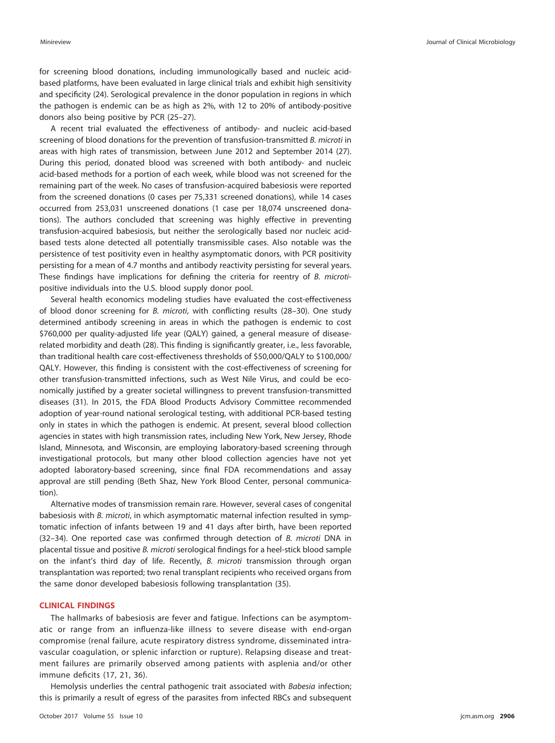for screening blood donations, including immunologically based and nucleic acidbased platforms, have been evaluated in large clinical trials and exhibit high sensitivity and specificity [\(24\)](#page-8-11). Serological prevalence in the donor population in regions in which the pathogen is endemic can be as high as 2%, with 12 to 20% of antibody-positive donors also being positive by PCR [\(25](#page-8-12)[–](#page-8-13)[27\)](#page-8-14).

A recent trial evaluated the effectiveness of antibody- and nucleic acid-based screening of blood donations for the prevention of transfusion-transmitted B. microti in areas with high rates of transmission, between June 2012 and September 2014 [\(27\)](#page-8-14). During this period, donated blood was screened with both antibody- and nucleic acid-based methods for a portion of each week, while blood was not screened for the remaining part of the week. No cases of transfusion-acquired babesiosis were reported from the screened donations (0 cases per 75,331 screened donations), while 14 cases occurred from 253,031 unscreened donations (1 case per 18,074 unscreened donations). The authors concluded that screening was highly effective in preventing transfusion-acquired babesiosis, but neither the serologically based nor nucleic acidbased tests alone detected all potentially transmissible cases. Also notable was the persistence of test positivity even in healthy asymptomatic donors, with PCR positivity persisting for a mean of 4.7 months and antibody reactivity persisting for several years. These findings have implications for defining the criteria for reentry of B. microtipositive individuals into the U.S. blood supply donor pool.

Several health economics modeling studies have evaluated the cost-effectiveness of blood donor screening for B. microti, with conflicting results [\(28](#page-8-15)[–](#page-8-16)[30\)](#page-8-17). One study determined antibody screening in areas in which the pathogen is endemic to cost \$760,000 per quality-adjusted life year (QALY) gained, a general measure of diseaserelated morbidity and death [\(28\)](#page-8-15). This finding is significantly greater, i.e., less favorable, than traditional health care cost-effectiveness thresholds of \$50,000/QALY to \$100,000/ QALY. However, this finding is consistent with the cost-effectiveness of screening for other transfusion-transmitted infections, such as West Nile Virus, and could be economically justified by a greater societal willingness to prevent transfusion-transmitted diseases [\(31\)](#page-8-18). In 2015, the FDA Blood Products Advisory Committee recommended adoption of year-round national serological testing, with additional PCR-based testing only in states in which the pathogen is endemic. At present, several blood collection agencies in states with high transmission rates, including New York, New Jersey, Rhode Island, Minnesota, and Wisconsin, are employing laboratory-based screening through investigational protocols, but many other blood collection agencies have not yet adopted laboratory-based screening, since final FDA recommendations and assay approval are still pending (Beth Shaz, New York Blood Center, personal communication).

Alternative modes of transmission remain rare. However, several cases of congenital babesiosis with B. microti, in which asymptomatic maternal infection resulted in symptomatic infection of infants between 19 and 41 days after birth, have been reported [\(32](#page-8-19)[–](#page-8-20)[34\)](#page-8-21). One reported case was confirmed through detection of B. microti DNA in placental tissue and positive B. microti serological findings for a heel-stick blood sample on the infant's third day of life. Recently, B. microti transmission through organ transplantation was reported; two renal transplant recipients who received organs from the same donor developed babesiosis following transplantation [\(35\)](#page-8-22).

## **CLINICAL FINDINGS**

The hallmarks of babesiosis are fever and fatigue. Infections can be asymptomatic or range from an influenza-like illness to severe disease with end-organ compromise (renal failure, acute respiratory distress syndrome, disseminated intravascular coagulation, or splenic infarction or rupture). Relapsing disease and treatment failures are primarily observed among patients with asplenia and/or other immune deficits [\(17,](#page-8-4) [21,](#page-8-8) [36\)](#page-8-23).

Hemolysis underlies the central pathogenic trait associated with Babesia infection; this is primarily a result of egress of the parasites from infected RBCs and subsequent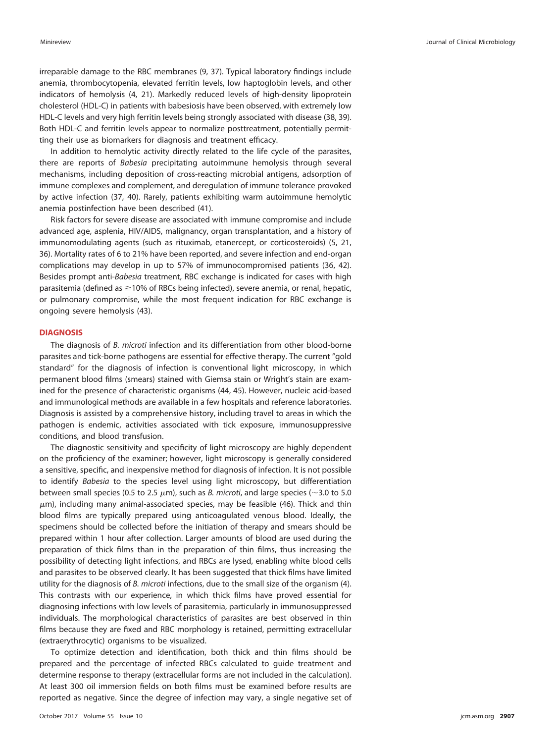irreparable damage to the RBC membranes [\(9,](#page-7-7) [37\)](#page-8-24). Typical laboratory findings include anemia, thrombocytopenia, elevated ferritin levels, low haptoglobin levels, and other indicators of hemolysis [\(4,](#page-7-3) [21\)](#page-8-8). Markedly reduced levels of high-density lipoprotein cholesterol (HDL-C) in patients with babesiosis have been observed, with extremely low HDL-C levels and very high ferritin levels being strongly associated with disease [\(38,](#page-8-25) [39\)](#page-8-26). Both HDL-C and ferritin levels appear to normalize posttreatment, potentially permitting their use as biomarkers for diagnosis and treatment efficacy.

In addition to hemolytic activity directly related to the life cycle of the parasites, there are reports of Babesia precipitating autoimmune hemolysis through several mechanisms, including deposition of cross-reacting microbial antigens, adsorption of immune complexes and complement, and deregulation of immune tolerance provoked by active infection [\(37,](#page-8-24) [40\)](#page-8-27). Rarely, patients exhibiting warm autoimmune hemolytic anemia postinfection have been described [\(41\)](#page-8-28).

Risk factors for severe disease are associated with immune compromise and include advanced age, asplenia, HIV/AIDS, malignancy, organ transplantation, and a history of immunomodulating agents (such as rituximab, etanercept, or corticosteroids) [\(5,](#page-7-4) [21,](#page-8-8) [36\)](#page-8-23). Mortality rates of 6 to 21% have been reported, and severe infection and end-organ complications may develop in up to 57% of immunocompromised patients [\(36,](#page-8-23) [42\)](#page-8-29). Besides prompt anti-Babesia treatment, RBC exchange is indicated for cases with high parasitemia (defined as ≥10% of RBCs being infected), severe anemia, or renal, hepatic, or pulmonary compromise, while the most frequent indication for RBC exchange is ongoing severe hemolysis [\(43\)](#page-8-30).

#### **DIAGNOSIS**

The diagnosis of B. microti infection and its differentiation from other blood-borne parasites and tick-borne pathogens are essential for effective therapy. The current "gold standard" for the diagnosis of infection is conventional light microscopy, in which permanent blood films (smears) stained with Giemsa stain or Wright's stain are examined for the presence of characteristic organisms [\(44,](#page-8-31) [45\)](#page-8-32). However, nucleic acid-based and immunological methods are available in a few hospitals and reference laboratories. Diagnosis is assisted by a comprehensive history, including travel to areas in which the pathogen is endemic, activities associated with tick exposure, immunosuppressive conditions, and blood transfusion.

The diagnostic sensitivity and specificity of light microscopy are highly dependent on the proficiency of the examiner; however, light microscopy is generally considered a sensitive, specific, and inexpensive method for diagnosis of infection. It is not possible to identify Babesia to the species level using light microscopy, but differentiation between small species (0.5 to 2.5  $\mu$ m), such as *B*. microti, and large species ( $\sim$ 3.0 to 5.0  $\mu$ m), including many animal-associated species, may be feasible [\(46\)](#page-8-33). Thick and thin blood films are typically prepared using anticoagulated venous blood. Ideally, the specimens should be collected before the initiation of therapy and smears should be prepared within 1 hour after collection. Larger amounts of blood are used during the preparation of thick films than in the preparation of thin films, thus increasing the possibility of detecting light infections, and RBCs are lysed, enabling white blood cells and parasites to be observed clearly. It has been suggested that thick films have limited utility for the diagnosis of B. microti infections, due to the small size of the organism [\(4\)](#page-7-3). This contrasts with our experience, in which thick films have proved essential for diagnosing infections with low levels of parasitemia, particularly in immunosuppressed individuals. The morphological characteristics of parasites are best observed in thin films because they are fixed and RBC morphology is retained, permitting extracellular (extraerythrocytic) organisms to be visualized.

To optimize detection and identification, both thick and thin films should be prepared and the percentage of infected RBCs calculated to guide treatment and determine response to therapy (extracellular forms are not included in the calculation). At least 300 oil immersion fields on both films must be examined before results are reported as negative. Since the degree of infection may vary, a single negative set of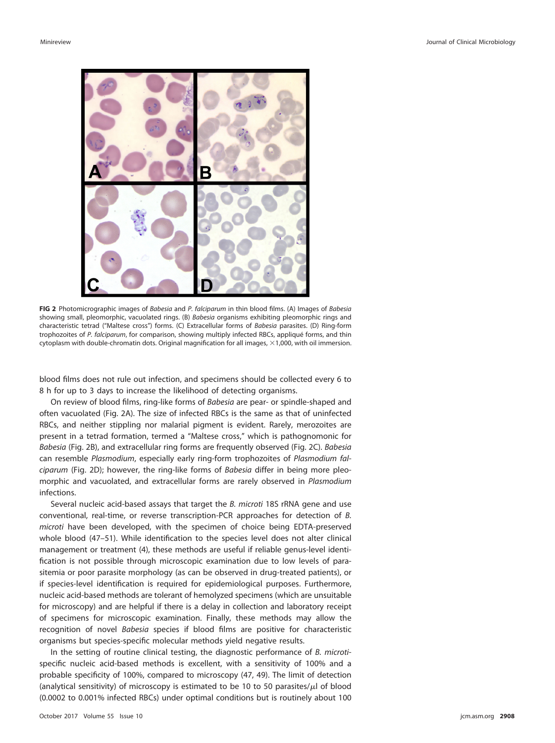

<span id="page-5-0"></span>**FIG 2** Photomicrographic images of Babesia and P. falciparum in thin blood films. (A) Images of Babesia showing small, pleomorphic, vacuolated rings. (B) Babesia organisms exhibiting pleomorphic rings and characteristic tetrad ("Maltese cross") forms. (C) Extracellular forms of Babesia parasites. (D) Ring-form trophozoites of P. falciparum, for comparison, showing multiply infected RBCs, appliqué forms, and thin cytoplasm with double-chromatin dots. Original magnification for all images,  $\times$ 1,000, with oil immersion.

blood films does not rule out infection, and specimens should be collected every 6 to 8 h for up to 3 days to increase the likelihood of detecting organisms.

On review of blood films, ring-like forms of Babesia are pear- or spindle-shaped and often vacuolated [\(Fig. 2A\)](#page-5-0). The size of infected RBCs is the same as that of uninfected RBCs, and neither stippling nor malarial pigment is evident. Rarely, merozoites are present in a tetrad formation, termed a "Maltese cross," which is pathognomonic for Babesia [\(Fig. 2B\)](#page-5-0), and extracellular ring forms are frequently observed [\(Fig. 2C\)](#page-5-0). Babesia can resemble Plasmodium, especially early ring-form trophozoites of Plasmodium falciparum [\(Fig. 2D\)](#page-5-0); however, the ring-like forms of Babesia differ in being more pleomorphic and vacuolated, and extracellular forms are rarely observed in Plasmodium infections.

Several nucleic acid-based assays that target the B. microti 18S rRNA gene and use conventional, real-time, or reverse transcription-PCR approaches for detection of B. microti have been developed, with the specimen of choice being EDTA-preserved whole blood [\(47](#page-8-34)[–](#page-8-35)[51\)](#page-8-36). While identification to the species level does not alter clinical management or treatment [\(4\)](#page-7-3), these methods are useful if reliable genus-level identification is not possible through microscopic examination due to low levels of parasitemia or poor parasite morphology (as can be observed in drug-treated patients), or if species-level identification is required for epidemiological purposes. Furthermore, nucleic acid-based methods are tolerant of hemolyzed specimens (which are unsuitable for microscopy) and are helpful if there is a delay in collection and laboratory receipt of specimens for microscopic examination. Finally, these methods may allow the recognition of novel Babesia species if blood films are positive for characteristic organisms but species-specific molecular methods yield negative results.

In the setting of routine clinical testing, the diagnostic performance of B. microtispecific nucleic acid-based methods is excellent, with a sensitivity of 100% and a probable specificity of 100%, compared to microscopy [\(47,](#page-8-34) [49\)](#page-8-37). The limit of detection (analytical sensitivity) of microscopy is estimated to be 10 to 50 parasites/ $\mu$ l of blood (0.0002 to 0.001% infected RBCs) under optimal conditions but is routinely about 100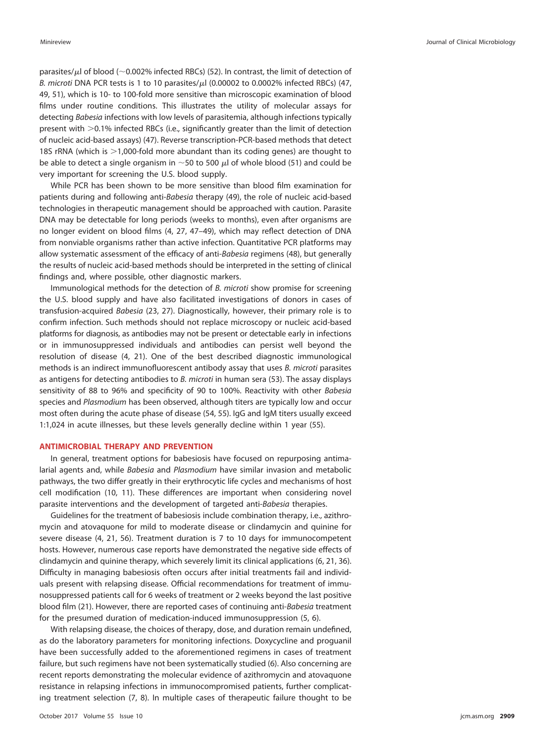parasites/ $\mu$ l of blood (~0.002% infected RBCs) [\(52\)](#page-8-38). In contrast, the limit of detection of B. microti DNA PCR tests is 1 to 10 parasites/ $\mu$ l (0.00002 to 0.0002% infected RBCs) [\(47,](#page-8-34) [49,](#page-8-37) [51\)](#page-8-36), which is 10- to 100-fold more sensitive than microscopic examination of blood films under routine conditions. This illustrates the utility of molecular assays for detecting Babesia infections with low levels of parasitemia, although infections typically present with  $>0.1\%$  infected RBCs (i.e., significantly greater than the limit of detection of nucleic acid-based assays) [\(47\)](#page-8-34). Reverse transcription-PCR-based methods that detect 18S rRNA (which is  $>$ 1,000-fold more abundant than its coding genes) are thought to be able to detect a single organism in  $\sim$  50 to 500  $\mu$  of whole blood [\(51\)](#page-8-36) and could be very important for screening the U.S. blood supply.

While PCR has been shown to be more sensitive than blood film examination for patients during and following anti-Babesia therapy [\(49\)](#page-8-37), the role of nucleic acid-based technologies in therapeutic management should be approached with caution. Parasite DNA may be detectable for long periods (weeks to months), even after organisms are no longer evident on blood films [\(4,](#page-7-3) [27,](#page-8-14) [47](#page-8-34)[–](#page-8-39)[49\)](#page-8-37), which may reflect detection of DNA from nonviable organisms rather than active infection. Quantitative PCR platforms may allow systematic assessment of the efficacy of anti-Babesia regimens [\(48\)](#page-8-39), but generally the results of nucleic acid-based methods should be interpreted in the setting of clinical findings and, where possible, other diagnostic markers.

Immunological methods for the detection of B. microti show promise for screening the U.S. blood supply and have also facilitated investigations of donors in cases of transfusion-acquired Babesia [\(23,](#page-8-10) [27\)](#page-8-14). Diagnostically, however, their primary role is to confirm infection. Such methods should not replace microscopy or nucleic acid-based platforms for diagnosis, as antibodies may not be present or detectable early in infections or in immunosuppressed individuals and antibodies can persist well beyond the resolution of disease [\(4,](#page-7-3) [21\)](#page-8-8). One of the best described diagnostic immunological methods is an indirect immunofluorescent antibody assay that uses B. microti parasites as antigens for detecting antibodies to B. microti in human sera [\(53\)](#page-9-0). The assay displays sensitivity of 88 to 96% and specificity of 90 to 100%. Reactivity with other Babesia species and Plasmodium has been observed, although titers are typically low and occur most often during the acute phase of disease [\(54,](#page-9-1) [55\)](#page-9-2). IgG and IgM titers usually exceed 1:1,024 in acute illnesses, but these levels generally decline within 1 year [\(55\)](#page-9-2).

## **ANTIMICROBIAL THERAPY AND PREVENTION**

In general, treatment options for babesiosis have focused on repurposing antimalarial agents and, while Babesia and Plasmodium have similar invasion and metabolic pathways, the two differ greatly in their erythrocytic life cycles and mechanisms of host cell modification [\(10,](#page-7-8) [11\)](#page-7-9). These differences are important when considering novel parasite interventions and the development of targeted anti-Babesia therapies.

Guidelines for the treatment of babesiosis include combination therapy, i.e., azithromycin and atovaquone for mild to moderate disease or clindamycin and quinine for severe disease [\(4,](#page-7-3) [21,](#page-8-8) [56\)](#page-9-3). Treatment duration is 7 to 10 days for immunocompetent hosts. However, numerous case reports have demonstrated the negative side effects of clindamycin and quinine therapy, which severely limit its clinical applications [\(6,](#page-7-11) [21,](#page-8-8) [36\)](#page-8-23). Difficulty in managing babesiosis often occurs after initial treatments fail and individuals present with relapsing disease. Official recommendations for treatment of immunosuppressed patients call for 6 weeks of treatment or 2 weeks beyond the last positive blood film [\(21\)](#page-8-8). However, there are reported cases of continuing anti-Babesia treatment for the presumed duration of medication-induced immunosuppression [\(5,](#page-7-4) [6\)](#page-7-11).

With relapsing disease, the choices of therapy, dose, and duration remain undefined, as do the laboratory parameters for monitoring infections. Doxycycline and proguanil have been successfully added to the aforementioned regimens in cases of treatment failure, but such regimens have not been systematically studied [\(6\)](#page-7-11). Also concerning are recent reports demonstrating the molecular evidence of azithromycin and atovaquone resistance in relapsing infections in immunocompromised patients, further complicating treatment selection [\(7,](#page-7-5) [8\)](#page-7-6). In multiple cases of therapeutic failure thought to be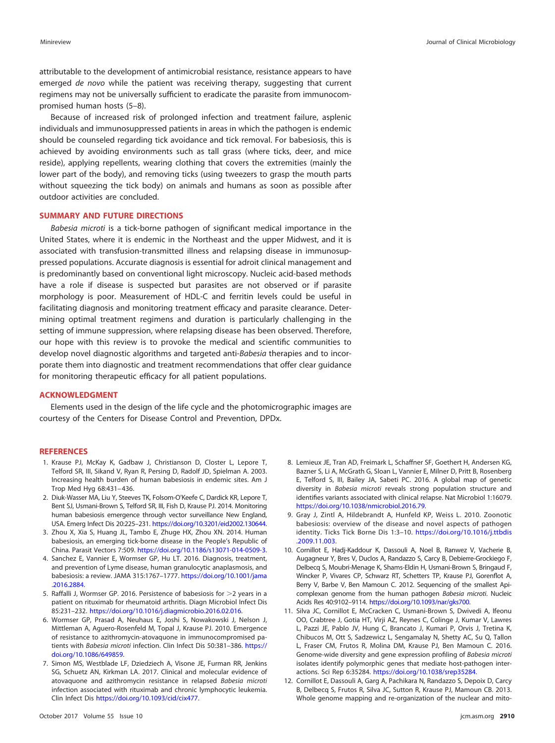attributable to the development of antimicrobial resistance, resistance appears to have emerged de novo while the patient was receiving therapy, suggesting that current regimens may not be universally sufficient to eradicate the parasite from immunocompromised human hosts [\(5](#page-7-4)[–](#page-7-5)[8\)](#page-7-6).

Because of increased risk of prolonged infection and treatment failure, asplenic individuals and immunosuppressed patients in areas in which the pathogen is endemic should be counseled regarding tick avoidance and tick removal. For babesiosis, this is achieved by avoiding environments such as tall grass (where ticks, deer, and mice reside), applying repellents, wearing clothing that covers the extremities (mainly the lower part of the body), and removing ticks (using tweezers to grasp the mouth parts without squeezing the tick body) on animals and humans as soon as possible after outdoor activities are concluded.

## **SUMMARY AND FUTURE DIRECTIONS**

Babesia microti is a tick-borne pathogen of significant medical importance in the United States, where it is endemic in the Northeast and the upper Midwest, and it is associated with transfusion-transmitted illness and relapsing disease in immunosuppressed populations. Accurate diagnosis is essential for adroit clinical management and is predominantly based on conventional light microscopy. Nucleic acid-based methods have a role if disease is suspected but parasites are not observed or if parasite morphology is poor. Measurement of HDL-C and ferritin levels could be useful in facilitating diagnosis and monitoring treatment efficacy and parasite clearance. Determining optimal treatment regimens and duration is particularly challenging in the setting of immune suppression, where relapsing disease has been observed. Therefore, our hope with this review is to provoke the medical and scientific communities to develop novel diagnostic algorithms and targeted anti-Babesia therapies and to incorporate them into diagnostic and treatment recommendations that offer clear guidance for monitoring therapeutic efficacy for all patient populations.

#### **ACKNOWLEDGMENT**

Elements used in the design of the life cycle and the photomicrographic images are courtesy of the Centers for Disease Control and Prevention, DPDx.

#### <span id="page-7-0"></span>**REFERENCES**

- 1. Krause PJ, McKay K, Gadbaw J, Christianson D, Closter L, Lepore T, Telford SR, III, Sikand V, Ryan R, Persing D, Radolf JD, Spielman A. 2003. Increasing health burden of human babesiosis in endemic sites. Am J Trop Med Hyg 68:431– 436.
- <span id="page-7-1"></span>2. Diuk-Wasser MA, Liu Y, Steeves TK, Folsom-O'Keefe C, Dardick KR, Lepore T, Bent SJ, Usmani-Brown S, Telford SR, III, Fish D, Krause PJ. 2014. Monitoring human babesiosis emergence through vector surveillance New England, USA. Emerg Infect Dis 20:225–231. [https://doi.org/10.3201/eid2002.130644.](https://doi.org/10.3201/eid2002.130644)
- <span id="page-7-3"></span><span id="page-7-2"></span>3. Zhou X, Xia S, Huang JL, Tambo E, Zhuge HX, Zhou XN. 2014. Human babesiosis, an emerging tick-borne disease in the People's Republic of China. Parasit Vectors 7:509. [https://doi.org/10.1186/s13071-014-0509-3.](https://doi.org/10.1186/s13071-014-0509-3)
- 4. Sanchez E, Vannier E, Wormser GP, Hu LT. 2016. Diagnosis, treatment, and prevention of Lyme disease, human granulocytic anaplasmosis, and babesiosis: a review. JAMA 315:1767–1777. [https://doi.org/10.1001/jama](https://doi.org/10.1001/jama.2016.2884) [.2016.2884.](https://doi.org/10.1001/jama.2016.2884)
- <span id="page-7-11"></span><span id="page-7-4"></span>5. Raffalli J, Wormser GP. 2016. Persistence of babesiosis for  $>$ 2 years in a patient on rituximab for rheumatoid arthritis. Diagn Microbiol Infect Dis 85:231–232. [https://doi.org/10.1016/j.diagmicrobio.2016.02.016.](https://doi.org/10.1016/j.diagmicrobio.2016.02.016)
- 6. Wormser GP, Prasad A, Neuhaus E, Joshi S, Nowakowski J, Nelson J, Mittleman A, Aguero-Rosenfeld M, Topal J, Krause PJ. 2010. Emergence of resistance to azithromycin-atovaquone in immunocompromised patients with Babesia microti infection. Clin Infect Dis 50:381–386. [https://](https://doi.org/10.1086/649859) [doi.org/10.1086/649859.](https://doi.org/10.1086/649859)
- <span id="page-7-5"></span>7. Simon MS, Westblade LF, Dziedziech A, Visone JE, Furman RR, Jenkins SG, Schuetz AN, Kirkman LA. 2017. Clinical and molecular evidence of atovaquone and azithromycin resistance in relapsed Babesia microti infection associated with rituximab and chronic lymphocytic leukemia. Clin Infect Dis [https://doi.org/10.1093/cid/cix477.](https://doi.org/10.1093/cid/cix477)
- <span id="page-7-6"></span>8. Lemieux JE, Tran AD, Freimark L, Schaffner SF, Goethert H, Andersen KG, Bazner S, Li A, McGrath G, Sloan L, Vannier E, Milner D, Pritt B, Rosenberg E, Telford S, III, Bailey JA, Sabeti PC. 2016. A global map of genetic diversity in Babesia microti reveals strong population structure and identifies variants associated with clinical relapse. Nat Microbiol 1:16079. [https://doi.org/10.1038/nmicrobiol.2016.79.](https://doi.org/10.1038/nmicrobiol.2016.79)
- <span id="page-7-7"></span>9. Gray J, Zintl A, Hildebrandt A, Hunfeld KP, Weiss L. 2010. Zoonotic babesiosis: overview of the disease and novel aspects of pathogen identity. Ticks Tick Borne Dis 1:3–10. [https://doi.org/10.1016/j.ttbdis](https://doi.org/10.1016/j.ttbdis.2009.11.003) [.2009.11.003.](https://doi.org/10.1016/j.ttbdis.2009.11.003)
- <span id="page-7-8"></span>10. Cornillot E, Hadj-Kaddour K, Dassouli A, Noel B, Ranwez V, Vacherie B, Augagneur Y, Bres V, Duclos A, Randazzo S, Carcy B, Debierre-Grockiego F, Delbecq S, Moubri-Menage K, Shams-Eldin H, Usmani-Brown S, Bringaud F, Wincker P, Vivares CP, Schwarz RT, Schetters TP, Krause PJ, Gorenflot A, Berry V, Barbe V, Ben Mamoun C. 2012. Sequencing of the smallest Apicomplexan genome from the human pathogen Babesia microti. Nucleic Acids Res 40:9102–9114. [https://doi.org/10.1093/nar/gks700.](https://doi.org/10.1093/nar/gks700)
- <span id="page-7-9"></span>11. Silva JC, Cornillot E, McCracken C, Usmani-Brown S, Dwivedi A, Ifeonu OO, Crabtree J, Gotia HT, Virji AZ, Reynes C, Colinge J, Kumar V, Lawres L, Pazzi JE, Pablo JV, Hung C, Brancato J, Kumari P, Orvis J, Tretina K, Chibucos M, Ott S, Sadzewicz L, Sengamalay N, Shetty AC, Su Q, Tallon L, Fraser CM, Frutos R, Molina DM, Krause PJ, Ben Mamoun C. 2016. Genome-wide diversity and gene expression profiling of Babesia microti isolates identify polymorphic genes that mediate host-pathogen interactions. Sci Rep 6:35284. [https://doi.org/10.1038/srep35284.](https://doi.org/10.1038/srep35284)
- <span id="page-7-10"></span>12. Cornillot E, Dassouli A, Garg A, Pachikara N, Randazzo S, Depoix D, Carcy B, Delbecq S, Frutos R, Silva JC, Sutton R, Krause PJ, Mamoun CB. 2013. Whole genome mapping and re-organization of the nuclear and mito-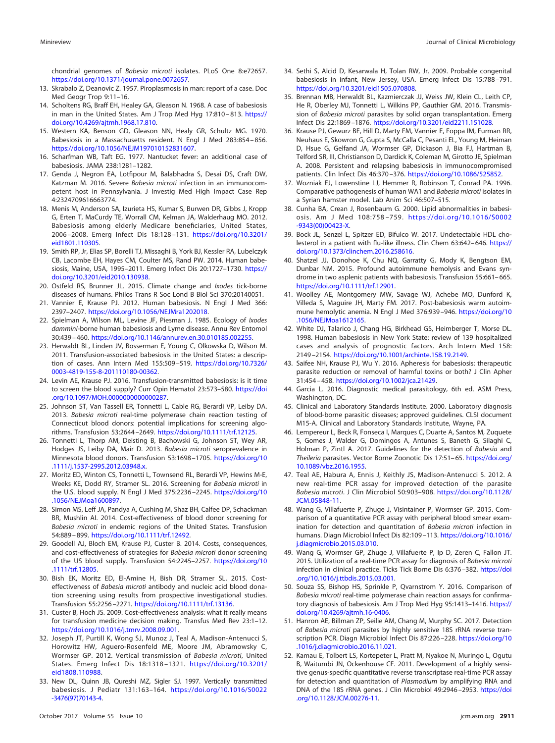chondrial genomes of Babesia microti isolates. PLoS One 8:e72657. [https://doi.org/10.1371/journal.pone.0072657.](https://doi.org/10.1371/journal.pone.0072657)

- <span id="page-8-1"></span><span id="page-8-0"></span>13. Skrabalo Z, Deanovic Z. 1957. Piroplasmosis in man: report of a case. Doc Med Geogr Trop 9:11–16.
- 14. Scholtens RG, Braff EH, Healey GA, Gleason N. 1968. A case of babesiosis in man in the United States. Am J Trop Med Hyg 17:810 – 813. [https://](https://doi.org/10.4269/ajtmh.1968.17.810) [doi.org/10.4269/ajtmh.1968.17.810.](https://doi.org/10.4269/ajtmh.1968.17.810)
- <span id="page-8-2"></span>15. Western KA, Benson GD, Gleason NN, Healy GR, Schultz MG. 1970. Babesiosis in a Massachusetts resident. N Engl J Med 283:854 – 856. [https://doi.org/10.1056/NEJM197010152831607.](https://doi.org/10.1056/NEJM197010152831607)
- <span id="page-8-4"></span><span id="page-8-3"></span>16. Scharfman WB, Taft EG. 1977. Nantucket fever: an additional case of babesiosis. JAMA 238:1281–1282.
- 17. Genda J, Negron EA, Lotfipour M, Balabhadra S, Desai DS, Craft DW, Katzman M. 2016. Severe Babesia microti infection in an immunocompetent host in Pennsylvania. J Investig Med High Impact Case Rep 4:2324709616663774.
- <span id="page-8-5"></span>18. Menis M, Anderson SA, Izurieta HS, Kumar S, Burwen DR, Gibbs J, Kropp G, Erten T, MaCurdy TE, Worrall CM, Kelman JA, Walderhaug MO. 2012. Babesiosis among elderly Medicare beneficiaries, United States, 2006 –2008. Emerg Infect Dis 18:128 –131. [https://doi.org/10.3201/](https://doi.org/10.3201/eid1801.110305) [eid1801.110305.](https://doi.org/10.3201/eid1801.110305)
- <span id="page-8-6"></span>19. Smith RP, Jr, Elias SP, Borelli TJ, Missaghi B, York BJ, Kessler RA, Lubelczyk CB, Lacombe EH, Hayes CM, Coulter MS, Rand PW. 2014. Human babesiosis, Maine, USA, 1995–2011. Emerg Infect Dis 20:1727–1730. [https://](https://doi.org/10.3201/eid2010.130938) [doi.org/10.3201/eid2010.130938.](https://doi.org/10.3201/eid2010.130938)
- <span id="page-8-8"></span><span id="page-8-7"></span>20. Ostfeld RS, Brunner JL. 2015. Climate change and Ixodes tick-borne diseases of humans. Philos Trans R Soc Lond B Biol Sci 370:20140051.
- <span id="page-8-9"></span>21. Vannier E, Krause PJ. 2012. Human babesiosis. N Engl J Med 366: 2397–2407. [https://doi.org/10.1056/NEJMra1202018.](https://doi.org/10.1056/NEJMra1202018)
- 22. Spielman A, Wilson ML, Levine JF, Piesman J. 1985. Ecology of Ixodes dammini-borne human babesiosis and Lyme disease. Annu Rev Entomol 30:439 – 460. [https://doi.org/10.1146/annurev.en.30.010185.002255.](https://doi.org/10.1146/annurev.en.30.010185.002255)
- <span id="page-8-10"></span>23. Herwaldt BL, Linden JV, Bosserman E, Young C, Olkowska D, Wilson M. 2011. Transfusion-associated babesiosis in the United States: a description of cases. Ann Intern Med 155:509 –519. [https://doi.org/10.7326/](https://doi.org/10.7326/0003-4819-155-8-201110180-00362) [0003-4819-155-8-201110180-00362.](https://doi.org/10.7326/0003-4819-155-8-201110180-00362)
- <span id="page-8-11"></span>24. Levin AE, Krause PJ. 2016. Transfusion-transmitted babesiosis: is it time to screen the blood supply? Curr Opin Hematol 23:573–580. [https://doi](https://doi.org/10.1097/MOH.0000000000000287) [.org/10.1097/MOH.0000000000000287.](https://doi.org/10.1097/MOH.0000000000000287)
- <span id="page-8-12"></span>25. Johnson ST, Van Tassell ER, Tonnetti L, Cable RG, Berardi VP, Leiby DA. 2013. Babesia microti real-time polymerase chain reaction testing of Connecticut blood donors: potential implications for screening algorithms. Transfusion 53:2644 –2649. [https://doi.org/10.1111/trf.12125.](https://doi.org/10.1111/trf.12125)
- <span id="page-8-13"></span>26. Tonnetti L, Thorp AM, Deisting B, Bachowski G, Johnson ST, Wey AR, Hodges JS, Leiby DA, Mair D. 2013. Babesia microti seroprevalence in Minnesota blood donors. Transfusion 53:1698 –1705. [https://doi.org/10](https://doi.org/10.1111/j.1537-2995.2012.03948.x) [.1111/j.1537-2995.2012.03948.x.](https://doi.org/10.1111/j.1537-2995.2012.03948.x)
- <span id="page-8-14"></span>27. Moritz ED, Winton CS, Tonnetti L, Townsend RL, Berardi VP, Hewins M-E, Weeks KE, Dodd RY, Stramer SL. 2016. Screening for Babesia microti in the U.S. blood supply. N Engl J Med 375:2236 –2245. [https://doi.org/10](https://doi.org/10.1056/NEJMoa1600897) [.1056/NEJMoa1600897.](https://doi.org/10.1056/NEJMoa1600897)
- <span id="page-8-15"></span>28. Simon MS, Leff JA, Pandya A, Cushing M, Shaz BH, Calfee DP, Schackman BR, Mushlin AI. 2014. Cost-effectiveness of blood donor screening for Babesia microti in endemic regions of the United States. Transfusion 54:889 – 899. [https://doi.org/10.1111/trf.12492.](https://doi.org/10.1111/trf.12492)
- <span id="page-8-16"></span>29. Goodell AJ, Bloch EM, Krause PJ, Custer B. 2014. Costs, consequences, and cost-effectiveness of strategies for Babesia microti donor screening of the US blood supply. Transfusion 54:2245–2257. [https://doi.org/10](https://doi.org/10.1111/trf.12805) [.1111/trf.12805.](https://doi.org/10.1111/trf.12805)
- <span id="page-8-17"></span>30. Bish EK, Moritz ED, El-Amine H, Bish DR, Stramer SL. 2015. Costeffectiveness of Babesia microti antibody and nucleic acid blood donation screening using results from prospective investigational studies. Transfusion 55:2256 –2271. [https://doi.org/10.1111/trf.13136.](https://doi.org/10.1111/trf.13136)
- <span id="page-8-19"></span><span id="page-8-18"></span>31. Custer B, Hoch JS. 2009. Cost-effectiveness analysis: what it really means for transfusion medicine decision making. Transfus Med Rev 23:1–12. [https://doi.org/10.1016/j.tmrv.2008.09.001.](https://doi.org/10.1016/j.tmrv.2008.09.001)
- 32. Joseph JT, Purtill K, Wong SJ, Munoz J, Teal A, Madison-Antenucci S, Horowitz HW, Aguero-Rosenfeld ME, Moore JM, Abramowsky C, Wormser GP. 2012. Vertical transmission of Babesia microti, United States. Emerg Infect Dis 18:1318 –1321. [https://doi.org/10.3201/](https://doi.org/10.3201/eid1808.110988) [eid1808.110988.](https://doi.org/10.3201/eid1808.110988)
- <span id="page-8-20"></span>33. New DL, Quinn JB, Qureshi MZ, Sigler SJ. 1997. Vertically transmitted babesiosis. J Pediatr 131:163–164. [https://doi.org/10.1016/S0022](https://doi.org/10.1016/S0022-3476(97)70143-4) [-3476\(97\)70143-4.](https://doi.org/10.1016/S0022-3476(97)70143-4)
- <span id="page-8-21"></span>34. Sethi S, Alcid D, Kesarwala H, Tolan RW, Jr. 2009. Probable congenital babesiosis in infant, New Jersey, USA. Emerg Infect Dis 15:788 –791. [https://doi.org/10.3201/eid1505.070808.](https://doi.org/10.3201/eid1505.070808)
- <span id="page-8-22"></span>35. Brennan MB, Herwaldt BL, Kazmierczak JJ, Weiss JW, Klein CL, Leith CP, He R, Oberley MJ, Tonnetti L, Wilkins PP, Gauthier GM. 2016. Transmission of Babesia microti parasites by solid organ transplantation. Emerg Infect Dis 22:1869 –1876. [https://doi.org/10.3201/eid2211.151028.](https://doi.org/10.3201/eid2211.151028)
- <span id="page-8-23"></span>36. Krause PJ, Gewurz BE, Hill D, Marty FM, Vannier E, Foppa IM, Furman RR, Neuhaus E, Skowron G, Gupta S, McCalla C, Pesanti EL, Young M, Heiman D, Hsue G, Gelfand JA, Wormser GP, Dickason J, Bia FJ, Hartman B, Telford SR, III, Christianson D, Dardick K, Coleman M, Girotto JE, Spielman A. 2008. Persistent and relapsing babesiosis in immunocompromised patients. Clin Infect Dis 46:370 –376. [https://doi.org/10.1086/525852.](https://doi.org/10.1086/525852)
- <span id="page-8-24"></span>37. Wozniak EJ, Lowenstine LJ, Hemmer R, Robinson T, Conrad PA. 1996. Comparative pathogenesis of human WA1 and Babesia microti isolates in a Syrian hamster model. Lab Anim Sci 46:507–515.
- <span id="page-8-25"></span>38. Cunha BA, Crean J, Rosenbaum G. 2000. Lipid abnormalities in babesiosis. Am J Med 108:758 –759. [https://doi.org/10.1016/S0002](https://doi.org/10.1016/S0002-9343(00)00423-X) [-9343\(00\)00423-X.](https://doi.org/10.1016/S0002-9343(00)00423-X)
- <span id="page-8-26"></span>39. Bock JL, Senzel L, Spitzer ED, Bifulco W. 2017. Undetectable HDL cholesterol in a patient with flu-like illness. Clin Chem 63:642– 646. [https://](https://doi.org/10.1373/clinchem.2016.258616) [doi.org/10.1373/clinchem.2016.258616.](https://doi.org/10.1373/clinchem.2016.258616)
- <span id="page-8-27"></span>40. Shatzel JJ, Donohoe K, Chu NQ, Garratty G, Mody K, Bengtson EM, Dunbar NM. 2015. Profound autoimmune hemolysis and Evans syndrome in two asplenic patients with babesiosis. Transfusion 55:661– 665. [https://doi.org/10.1111/trf.12901.](https://doi.org/10.1111/trf.12901)
- <span id="page-8-28"></span>41. Woolley AE, Montgomery MW, Savage WJ, Achebe MO, Dunford K, Villeda S, Maguire JH, Marty FM. 2017. Post-babesiosis warm autoimmune hemolytic anemia. N Engl J Med 376:939 –946. [https://doi.org/10](https://doi.org/10.1056/NEJMoa1612165) [.1056/NEJMoa1612165.](https://doi.org/10.1056/NEJMoa1612165)
- <span id="page-8-29"></span>42. White DJ, Talarico J, Chang HG, Birkhead GS, Heimberger T, Morse DL. 1998. Human babesiosis in New York State: review of 139 hospitalized cases and analysis of prognostic factors. Arch Intern Med 158: 2149 –2154. [https://doi.org/10.1001/archinte.158.19.2149.](https://doi.org/10.1001/archinte.158.19.2149)
- <span id="page-8-30"></span>43. Saifee NH, Krause PJ, Wu Y. 2016. Apheresis for babesiosis: therapeutic parasite reduction or removal of harmful toxins or both? J Clin Apher 31:454 – 458. [https://doi.org/10.1002/jca.21429.](https://doi.org/10.1002/jca.21429)
- <span id="page-8-32"></span><span id="page-8-31"></span>44. Garcia L. 2016. Diagnostic medical parasitology, 6th ed. ASM Press, Washington, DC.
- <span id="page-8-33"></span>45. Clinical and Laboratory Standards Institute. 2000. Laboratory diagnosis of blood-borne parasitic diseases; approved guidelines. CLSI document M15-A. Clinical and Laboratory Standards Institute, Wayne, PA.
- 46. Lempereur L, Beck R, Fonseca I, Marques C, Duarte A, Santos M, Zuquete S, Gomes J, Walder G, Domingos A, Antunes S, Baneth G, Silaghi C, Holman P, Zintl A. 2017. Guidelines for the detection of Babesia and Theileria parasites. Vector Borne Zoonotic Dis 17:51– 65. [https://doi.org/](https://doi.org/10.1089/vbz.2016.1955) [10.1089/vbz.2016.1955.](https://doi.org/10.1089/vbz.2016.1955)
- <span id="page-8-34"></span>47. Teal AE, Habura A, Ennis J, Keithly JS, Madison-Antenucci S. 2012. A new real-time PCR assay for improved detection of the parasite Babesia microti. J Clin Microbiol 50:903–908. [https://doi.org/10.1128/](https://doi.org/10.1128/JCM.05848-11) [JCM.05848-11.](https://doi.org/10.1128/JCM.05848-11)
- <span id="page-8-39"></span>48. Wang G, Villafuerte P, Zhuge J, Visintainer P, Wormser GP. 2015. Comparison of a quantitative PCR assay with peripheral blood smear examination for detection and quantitation of Babesia microti infection in humans. Diagn Microbiol Infect Dis 82:109 –113. [https://doi.org/10.1016/](https://doi.org/10.1016/j.diagmicrobio.2015.03.010) [j.diagmicrobio.2015.03.010.](https://doi.org/10.1016/j.diagmicrobio.2015.03.010)
- <span id="page-8-37"></span>49. Wang G, Wormser GP, Zhuge J, Villafuerte P, Ip D, Zeren C, Fallon JT. 2015. Utilization of a real-time PCR assay for diagnosis of Babesia microti infection in clinical practice. Ticks Tick Borne Dis 6:376 –382. [https://doi](https://doi.org/10.1016/j.ttbdis.2015.03.001) [.org/10.1016/j.ttbdis.2015.03.001.](https://doi.org/10.1016/j.ttbdis.2015.03.001)
- <span id="page-8-35"></span>50. Souza SS, Bishop HS, Sprinkle P, Qvarnstrom Y. 2016. Comparison of Babesia microti real-time polymerase chain reaction assays for confirmatory diagnosis of babesiosis. Am J Trop Med Hyg 95:1413–1416. [https://](https://doi.org/10.4269/ajtmh.16-0406) [doi.org/10.4269/ajtmh.16-0406.](https://doi.org/10.4269/ajtmh.16-0406)
- <span id="page-8-36"></span>51. Hanron AE, Billman ZP, Seilie AM, Chang M, Murphy SC. 2017. Detection of Babesia microti parasites by highly sensitive 18S rRNA reverse transcription PCR. Diagn Microbiol Infect Dis 87:226 –228. [https://doi.org/10](https://doi.org/10.1016/j.diagmicrobio.2016.11.021) [.1016/j.diagmicrobio.2016.11.021.](https://doi.org/10.1016/j.diagmicrobio.2016.11.021)
- <span id="page-8-38"></span>52. Kamau E, Tolbert LS, Kortepeter L, Pratt M, Nyakoe N, Muringo L, Ogutu B, Waitumbi JN, Ockenhouse CF. 2011. Development of a highly sensitive genus-specific quantitative reverse transcriptase real-time PCR assay for detection and quantitation of Plasmodium by amplifying RNA and DNA of the 18S rRNA genes. J Clin Microbiol 49:2946 –2953. [https://doi](https://doi.org/10.1128/JCM.00276-11) [.org/10.1128/JCM.00276-11.](https://doi.org/10.1128/JCM.00276-11)